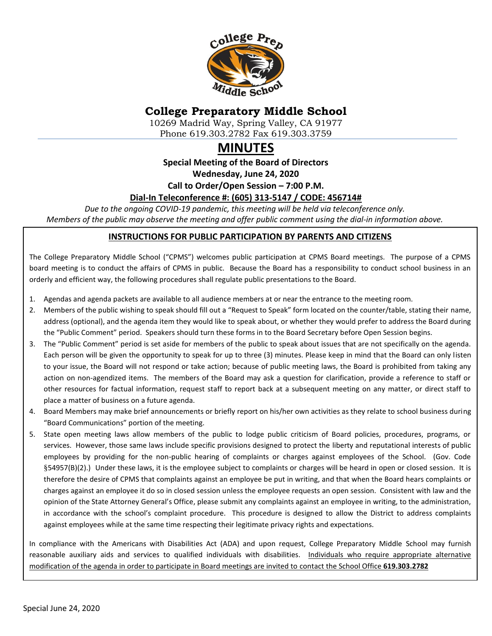

# **College Preparatory Middle School**

10269 Madrid Way, Spring Valley, CA 91977 Phone 619.303.2782 Fax 619.303.3759

# **MINUTES**

**Special Meeting of the Board of Directors**

**Wednesday, June 24, 2020**

**Call to Order/Open Session – 7:00 P.M.**

#### **Dial-In Teleconference #: (605) 313-5147 / CODE: 456714#**

*Due to the ongoing COVID-19 pandemic, this meeting will be held via teleconference only. Members of the public may observe the meeting and offer public comment using the dial-in information above.*

#### **INSTRUCTIONS FOR PUBLIC PARTICIPATION BY PARENTS AND CITIZENS**

The College Preparatory Middle School ("CPMS") welcomes public participation at CPMS Board meetings. The purpose of a CPMS board meeting is to conduct the affairs of CPMS in public. Because the Board has a responsibility to conduct school business in an orderly and efficient way, the following procedures shall regulate public presentations to the Board.

- 1. Agendas and agenda packets are available to all audience members at or near the entrance to the meeting room.
- 2. Members of the public wishing to speak should fill out a "Request to Speak" form located on the counter/table, stating their name, address (optional), and the agenda item they would like to speak about, or whether they would prefer to address the Board during the "Public Comment" period. Speakers should turn these forms in to the Board Secretary before Open Session begins.
- 3. The "Public Comment" period is set aside for members of the public to speak about issues that are not specifically on the agenda. Each person will be given the opportunity to speak for up to three (3) minutes. Please keep in mind that the Board can only listen to your issue, the Board will not respond or take action; because of public meeting laws, the Board is prohibited from taking any action on non-agendized items. The members of the Board may ask a question for clarification, provide a reference to staff or other resources for factual information, request staff to report back at a subsequent meeting on any matter, or direct staff to place a matter of business on a future agenda.
- 4. Board Members may make brief announcements or briefly report on his/her own activities as they relate to school business during "Board Communications" portion of the meeting.
- 5. State open meeting laws allow members of the public to lodge public criticism of Board policies, procedures, programs, or services. However, those same laws include specific provisions designed to protect the liberty and reputational interests of public employees by providing for the non-public hearing of complaints or charges against employees of the School. (Gov. Code §54957(B)(2).) Under these laws, it is the employee subject to complaints or charges will be heard in open or closed session. It is therefore the desire of CPMS that complaints against an employee be put in writing, and that when the Board hears complaints or charges against an employee it do so in closed session unless the employee requests an open session. Consistent with law and the opinion of the State Attorney General's Office, please submit any complaints against an employee in writing, to the administration, in accordance with the school's complaint procedure. This procedure is designed to allow the District to address complaints against employees while at the same time respecting their legitimate privacy rights and expectations.

In compliance with the Americans with Disabilities Act (ADA) and upon request, College Preparatory Middle School may furnish reasonable auxiliary aids and services to qualified individuals with disabilities. Individuals who require appropriate alternative modification of the agenda in order to participate in Board meetings are invited to contact the School Office **619.303.2782**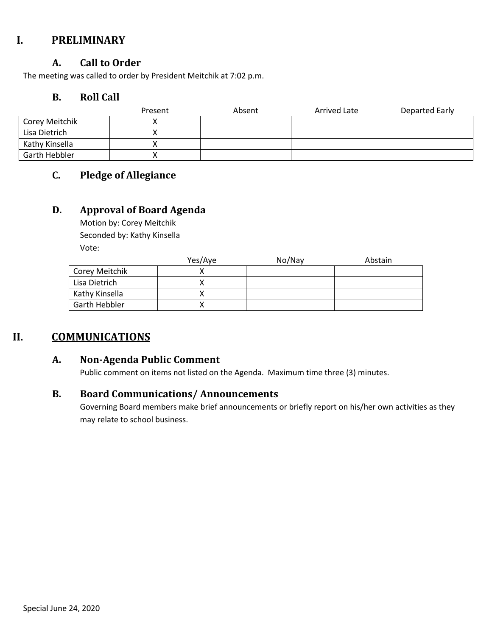## **I. PRELIMINARY**

### **A. Call to Order**

The meeting was called to order by President Meitchik at 7:02 p.m.

## **B. Roll Call**

|                | Present | Absent | <b>Arrived Late</b> | Departed Early |
|----------------|---------|--------|---------------------|----------------|
| Corey Meitchik |         |        |                     |                |
| Lisa Dietrich  |         |        |                     |                |
| Kathy Kinsella |         |        |                     |                |
| Garth Hebbler  |         |        |                     |                |

## **C. Pledge of Allegiance**

#### **D. Approval of Board Agenda**

Motion by: Corey Meitchik Seconded by: Kathy Kinsella Vote:

|                | Yes/Aye | No/Nay | Abstain |
|----------------|---------|--------|---------|
| Corey Meitchik |         |        |         |
| Lisa Dietrich  |         |        |         |
| Kathy Kinsella |         |        |         |
| Garth Hebbler  |         |        |         |

## **II. COMMUNICATIONS**

#### **A. Non-Agenda Public Comment**

Public comment on items not listed on the Agenda. Maximum time three (3) minutes.

#### **B. Board Communications/ Announcements**

Governing Board members make brief announcements or briefly report on his/her own activities as they may relate to school business.